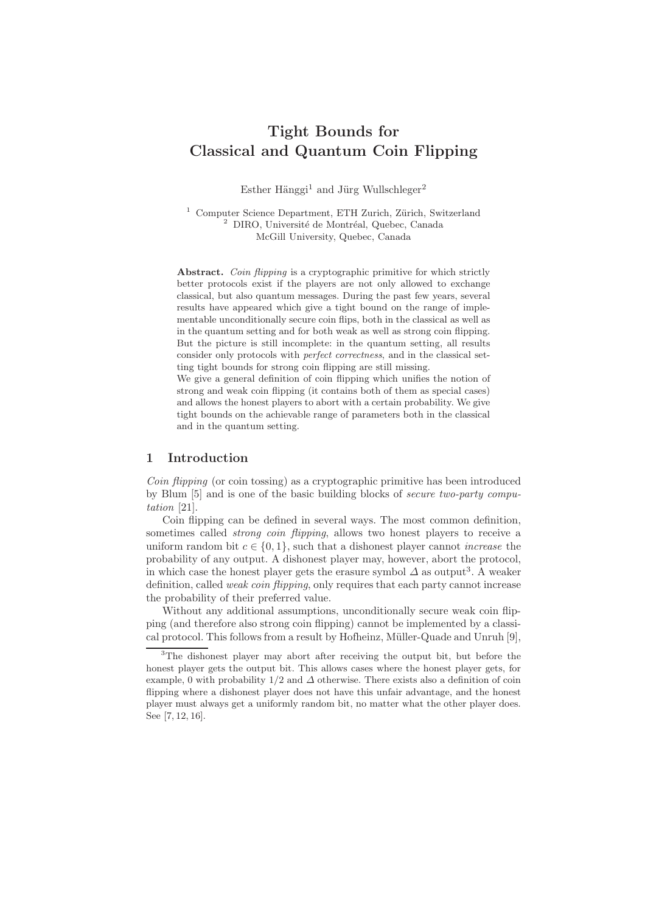# Tight Bounds for Classical and Quantum Coin Flipping

Esther Hänggi<sup>1</sup> and Jürg Wullschleger<sup>2</sup>

 $1$  Computer Science Department, ETH Zurich, Zürich, Switzerland  $^2\,$  DIRO, Université de Montréal, Quebec, Canada McGill University, Quebec, Canada

Abstract. Coin flipping is a cryptographic primitive for which strictly better protocols exist if the players are not only allowed to exchange classical, but also quantum messages. During the past few years, several results have appeared which give a tight bound on the range of implementable unconditionally secure coin flips, both in the classical as well as in the quantum setting and for both weak as well as strong coin flipping. But the picture is still incomplete: in the quantum setting, all results consider only protocols with perfect correctness, and in the classical setting tight bounds for strong coin flipping are still missing.

We give a general definition of coin flipping which unifies the notion of strong and weak coin flipping (it contains both of them as special cases) and allows the honest players to abort with a certain probability. We give tight bounds on the achievable range of parameters both in the classical and in the quantum setting.

## 1 Introduction

*Coin flipping* (or coin tossing) as a cryptographic primitive has been introduced by Blum [5] and is one of the basic building blocks of *secure two-party computation* [21].

Coin flipping can be defined in several ways. The most common definition, sometimes called *strong coin flipping*, allows two honest players to receive a uniform random bit  $c \in \{0, 1\}$ , such that a dishonest player cannot *increase* the probability of any output. A dishonest player may, however, abort the protocol, in which case the honest player gets the erasure symbol  $\Delta$  as output<sup>3</sup>. A weaker definition, called *weak coin flipping*, only requires that each party cannot increase the probability of their preferred value.

Without any additional assumptions, unconditionally secure weak coin flipping (and therefore also strong coin flipping) cannot be implemented by a classical protocol. This follows from a result by Hofheinz, M¨uller-Quade and Unruh [9],

<sup>&</sup>lt;sup>3</sup>The dishonest player may abort after receiving the output bit, but before the honest player gets the output bit. This allows cases where the honest player gets, for example, 0 with probability  $1/2$  and  $\Delta$  otherwise. There exists also a definition of coin flipping where a dishonest player does not have this unfair advantage, and the honest player must always get a uniformly random bit, no matter what the other player does. See [7, 12, 16].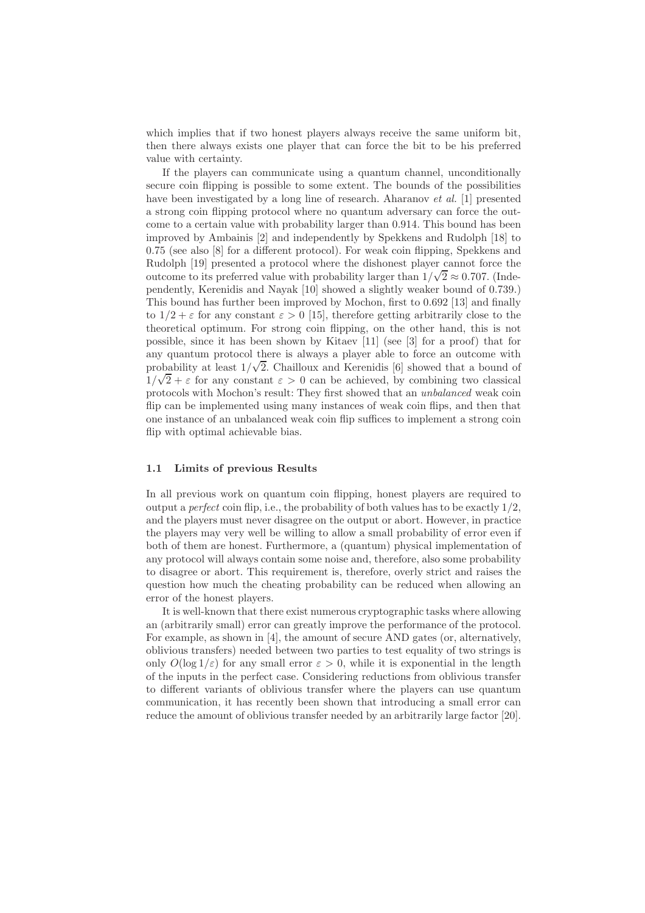which implies that if two honest players always receive the same uniform bit, then there always exists one player that can force the bit to be his preferred value with certainty.

If the players can communicate using a quantum channel, unconditionally secure coin flipping is possible to some extent. The bounds of the possibilities have been investigated by a long line of research. Aharanov *et al.* [1] presented a strong coin flipping protocol where no quantum adversary can force the outcome to a certain value with probability larger than 0.914. This bound has been improved by Ambainis [2] and independently by Spekkens and Rudolph [18] to 0.75 (see also [8] for a different protocol). For weak coin flipping, Spekkens and Rudolph [19] presented a protocol where the dishonest player cannot force the outcome to its preferred value with probability larger than  $1/\sqrt{2} \approx 0.707$ . (Independently, Kerenidis and Nayak [10] showed a slightly weaker bound of 0.739.) This bound has further been improved by Mochon, first to 0.692 [13] and finally to  $1/2 + \varepsilon$  for any constant  $\varepsilon > 0$  [15], therefore getting arbitrarily close to the theoretical optimum. For strong coin flipping, on the other hand, this is not possible, since it has been shown by Kitaev [11] (see [3] for a proof) that for any quantum protocol there is always a player able to force an outcome with probability at least  $1/\sqrt{2}$ . Chailloux and Kerenidis [6] showed that a bound of  $1/\sqrt{2} + \varepsilon$  for any constant  $\varepsilon > 0$  can be achieved, by combining two classical protocols with Mochon's result: They first showed that an *unbalanced* weak coin flip can be implemented using many instances of weak coin flips, and then that one instance of an unbalanced weak coin flip suffices to implement a strong coin flip with optimal achievable bias.

#### 1.1 Limits of previous Results

In all previous work on quantum coin flipping, honest players are required to output a *perfect* coin flip, i.e., the probability of both values has to be exactly 1/2, and the players must never disagree on the output or abort. However, in practice the players may very well be willing to allow a small probability of error even if both of them are honest. Furthermore, a (quantum) physical implementation of any protocol will always contain some noise and, therefore, also some probability to disagree or abort. This requirement is, therefore, overly strict and raises the question how much the cheating probability can be reduced when allowing an error of the honest players.

It is well-known that there exist numerous cryptographic tasks where allowing an (arbitrarily small) error can greatly improve the performance of the protocol. For example, as shown in [4], the amount of secure AND gates (or, alternatively, oblivious transfers) needed between two parties to test equality of two strings is only  $O(\log 1/\varepsilon)$  for any small error  $\varepsilon > 0$ , while it is exponential in the length of the inputs in the perfect case. Considering reductions from oblivious transfer to different variants of oblivious transfer where the players can use quantum communication, it has recently been shown that introducing a small error can reduce the amount of oblivious transfer needed by an arbitrarily large factor [20].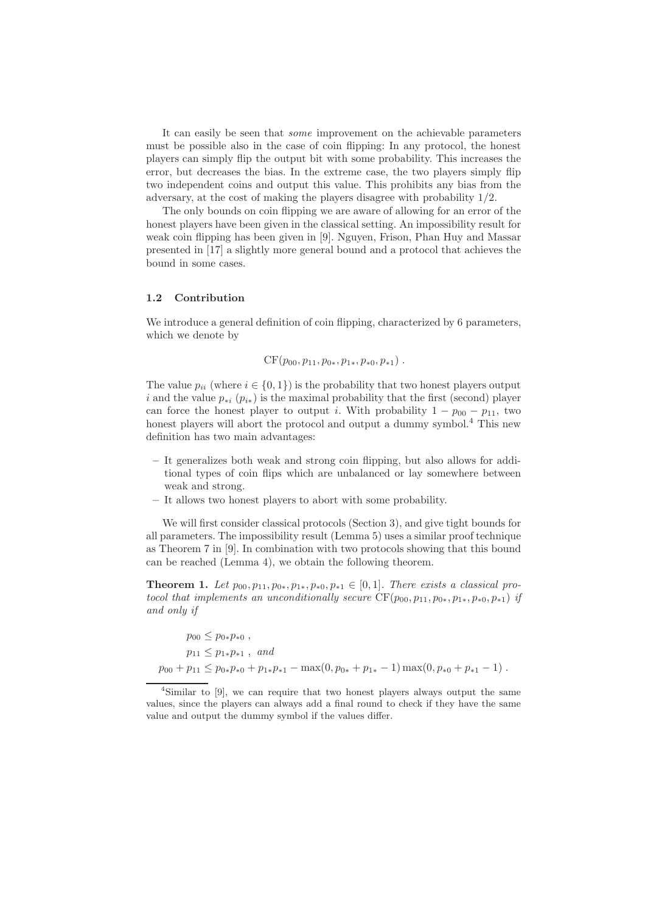It can easily be seen that *some* improvement on the achievable parameters must be possible also in the case of coin flipping: In any protocol, the honest players can simply flip the output bit with some probability. This increases the error, but decreases the bias. In the extreme case, the two players simply flip two independent coins and output this value. This prohibits any bias from the adversary, at the cost of making the players disagree with probability 1/2.

The only bounds on coin flipping we are aware of allowing for an error of the honest players have been given in the classical setting. An impossibility result for weak coin flipping has been given in [9]. Nguyen, Frison, Phan Huy and Massar presented in [17] a slightly more general bound and a protocol that achieves the bound in some cases.

#### 1.2 Contribution

We introduce a general definition of coin flipping, characterized by 6 parameters, which we denote by

 $CF(p_{00}, p_{11}, p_{0*}, p_{1*}, p_{*0}, p_{*1})$ .

The value  $p_{ii}$  (where  $i \in \{0,1\}$ ) is the probability that two honest players output i and the value  $p_{*i}$  ( $p_{i*}$ ) is the maximal probability that the first (second) player can force the honest player to output i. With probability  $1 - p_{00} - p_{11}$ , two honest players will abort the protocol and output a dummy symbol.<sup>4</sup> This new definition has two main advantages:

- It generalizes both weak and strong coin flipping, but also allows for additional types of coin flips which are unbalanced or lay somewhere between weak and strong.
- It allows two honest players to abort with some probability.

We will first consider classical protocols (Section 3), and give tight bounds for all parameters. The impossibility result (Lemma 5) uses a similar proof technique as Theorem 7 in [9]. In combination with two protocols showing that this bound can be reached (Lemma 4), we obtain the following theorem.

**Theorem 1.** Let  $p_{00}, p_{11}, p_{0*}, p_{1*}, p_{*0}, p_{*1} \in [0, 1]$ *. There exists a classical protocol that implements an unconditionally secure*  $CF(p_{00}, p_{11}, p_{0*}, p_{1*}, p_{*0}, p_{*1})$  *if and only if*

 $p_{00} \leq p_{0*}p_{*0}$ ,  $p_{11} \leq p_{1*}p_{*1}$ , *and*  $p_{00} + p_{11} \leq p_{0*}p_{*0} + p_{1*}p_{*1} - \max(0, p_{0*} + p_{1*} - 1) \max(0, p_{*0} + p_{*1} - 1).$ 

<sup>&</sup>lt;sup>4</sup>Similar to [9], we can require that two honest players always output the same values, since the players can always add a final round to check if they have the same value and output the dummy symbol if the values differ.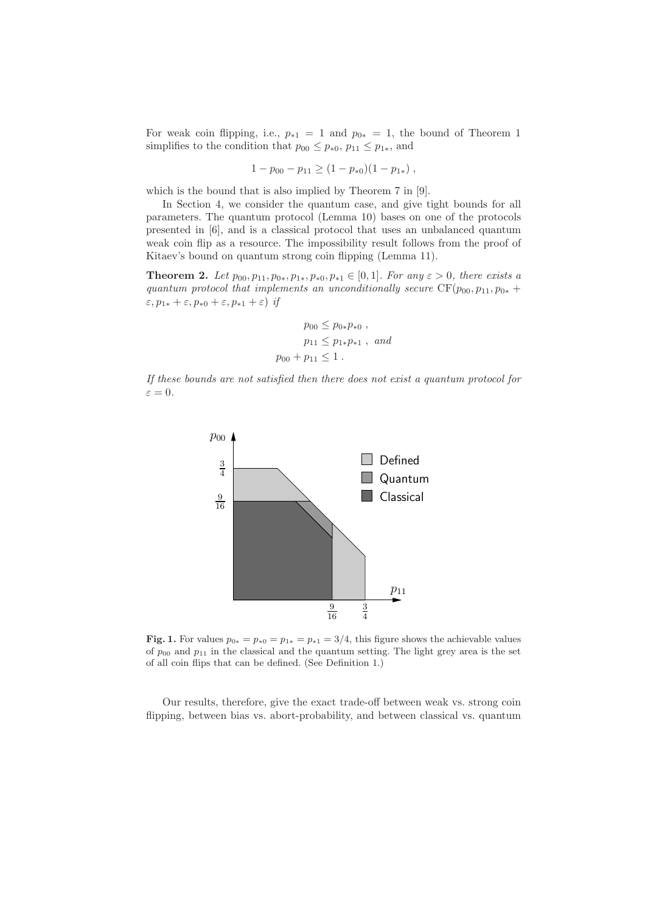For weak coin flipping, i.e.,  $p_{*1} = 1$  and  $p_{0*} = 1$ , the bound of Theorem 1 simplifies to the condition that  $p_{00} \leq p_{*0}, p_{11} \leq p_{1*}$ , and

$$
1 - p_{00} - p_{11} \ge (1 - p_{*0})(1 - p_{1*}),
$$

which is the bound that is also implied by Theorem 7 in [9].

In Section 4, we consider the quantum case, and give tight bounds for all parameters. The quantum protocol (Lemma 10) bases on one of the protocols presented in [6], and is a classical protocol that uses an unbalanced quantum weak coin flip as a resource. The impossibility result follows from the proof of Kitaev's bound on quantum strong coin flipping (Lemma 11).

**Theorem 2.** *Let*  $p_{00}, p_{11}, p_{0*}, p_{1*}, p_{*0}, p_{*1} \in [0, 1]$ *. For any*  $\varepsilon > 0$ *, there exists a quantum protocol that implements an unconditionally secure*  $CF(p_{00}, p_{11}, p_{0*} + p_{0*})$  $\varepsilon, p_{1*} + \varepsilon, p_{*0} + \varepsilon, p_{*1} + \varepsilon$ ) *if* 

$$
p_{00} \le p_{0*} p_{*0} ,
$$
  
\n
$$
p_{11} \le p_{1*} p_{*1} , \text{ and}
$$
  
\n
$$
p_{00} + p_{11} \le 1 .
$$

*If these bounds are not satisfied then there does not exist a quantum protocol for*  $\varepsilon = 0.$ 



Fig. 1. For values  $p_{0*} = p_{*0} = p_{1*} = p_{*1} = 3/4$ , this figure shows the achievable values of  $p_{00}$  and  $p_{11}$  in the classical and the quantum setting. The light grey area is the set of all coin flips that can be defined. (See Definition 1.)

Our results, therefore, give the exact trade-off between weak vs. strong coin flipping, between bias vs. abort-probability, and between classical vs. quantum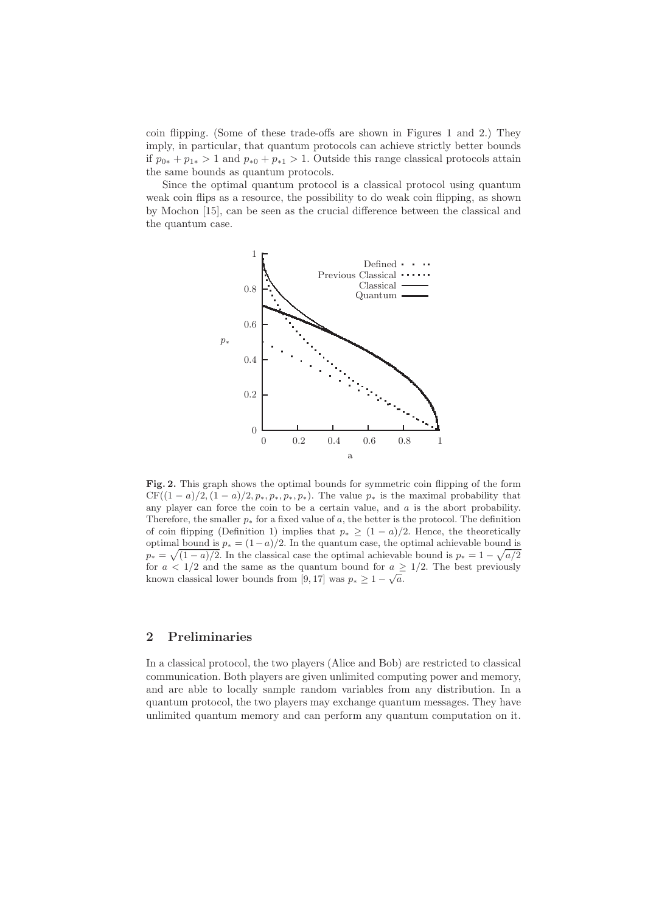coin flipping. (Some of these trade-offs are shown in Figures 1 and 2.) They imply, in particular, that quantum protocols can achieve strictly better bounds if p0<sup>∗</sup> + p1<sup>∗</sup> > 1 and p<sup>∗</sup><sup>0</sup> + p<sup>∗</sup><sup>1</sup> > 1. Outside this range classical protocols attain the same bounds as quantum protocols.

Since the optimal quantum protocol is a classical protocol using quantum weak coin flips as a resource, the possibility to do weak coin flipping, as shown by Mochon [15], can be seen as the crucial difference between the classical and the quantum case.



Fig. 2. This graph shows the optimal bounds for symmetric coin flipping of the form  $CF((1-a)/2,(1-a)/2,p_*,p_*,p_*,p_*).$  The value  $p_*$  is the maximal probability that any player can force the coin to be a certain value, and  $\alpha$  is the abort probability. Therefore, the smaller  $p_*$  for a fixed value of a, the better is the protocol. The definition of coin flipping (Definition 1) implies that  $p_* \geq (1-a)/2$ . Hence, the theoretically optimal bound is  $p_* = (1-a)/2$ . In the quantum case, the optimal achievable bound is  $p_* = \sqrt{(1-a)/2}$ . In the classical case the optimal achievable bound is  $p_* = 1 - \sqrt{a/2}$ for  $a < 1/2$  and the same as the quantum bound for  $a \ge 1/2$ . The best previously known classical lower bounds from [9, 17] was  $p_* \geq 1 - \sqrt{a}$ .

# 2 Preliminaries

In a classical protocol, the two players (Alice and Bob) are restricted to classical communication. Both players are given unlimited computing power and memory, and are able to locally sample random variables from any distribution. In a quantum protocol, the two players may exchange quantum messages. They have unlimited quantum memory and can perform any quantum computation on it.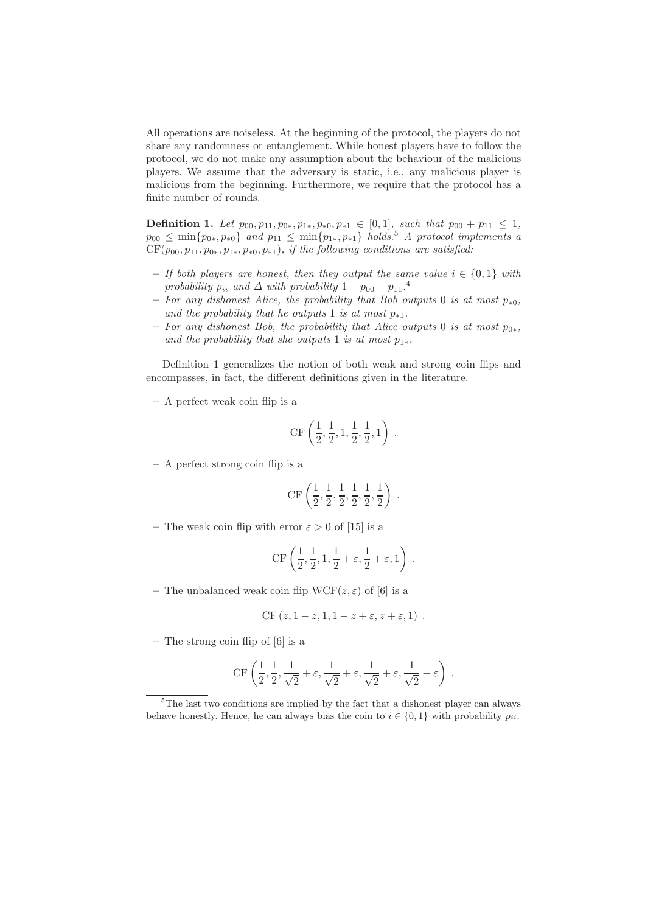All operations are noiseless. At the beginning of the protocol, the players do not share any randomness or entanglement. While honest players have to follow the protocol, we do not make any assumption about the behaviour of the malicious players. We assume that the adversary is static, i.e., any malicious player is malicious from the beginning. Furthermore, we require that the protocol has a finite number of rounds.

**Definition 1.** Let  $p_{00}, p_{11}, p_{0*}, p_{1*}, p_{*0}, p_{*1} \in [0,1]$ *, such that*  $p_{00} + p_{11} \le 1$ *,*  $p_{00} \le \min\{p_{0*,}, p_{*0}\}\$  and  $p_{11} \le \min\{p_{1*,}, p_{*1}\}\$  holds.<sup>5</sup> *A* protocol implements a  $CF(p_{00}, p_{11}, p_{0*}, p_{1*}, p_{*0}, p_{*1})$ *, if the following conditions are satisfied:* 

- $-If$  both players are honest, then they output the same value  $i \in \{0,1\}$  with *probability*  $p_{ii}$  *and*  $\Delta$  *with probability*  $1 - p_{00} - p_{11}$ .<sup>4</sup>
- $-$  *For any dishonest Alice, the probability that Bob outputs* 0 *is at most*  $p_{*0}$ , *and the probability that he outputs* 1 *is at most*  $p_{*1}$ *.*
- $-$  *For any dishonest Bob, the probability that Alice outputs* 0 *is at most*  $p_{0*}$ , *and the probability that she outputs* 1 *is at most*  $p_{1*}$ *.*

Definition 1 generalizes the notion of both weak and strong coin flips and encompasses, in fact, the different definitions given in the literature.

– A perfect weak coin flip is a

$$
\text{CF}\left(\frac{1}{2},\frac{1}{2},1,\frac{1}{2},\frac{1}{2},1\right) \ .
$$

– A perfect strong coin flip is a

$$
\text{CF}\left(\frac{1}{2},\frac{1}{2},\frac{1}{2},\frac{1}{2},\frac{1}{2},\frac{1}{2}\right) \ .
$$

– The weak coin flip with error  $\varepsilon > 0$  of [15] is a

$$
\mathrm{CF}\left(\frac{1}{2},\frac{1}{2},1,\frac{1}{2}+\varepsilon,\frac{1}{2}+\varepsilon,1\right)\;.
$$

– The unbalanced weak coin flip  $WCF(z, \varepsilon)$  of [6] is a

$$
CF(z, 1-z, 1, 1-z+\varepsilon, z+\varepsilon, 1) .
$$

– The strong coin flip of [6] is a

$$
\mathrm{CF}\left(\frac{1}{2},\frac{1}{2},\frac{1}{\sqrt{2}}+\varepsilon,\frac{1}{\sqrt{2}}+\varepsilon,\frac{1}{\sqrt{2}}+\varepsilon,\frac{1}{\sqrt{2}}+\varepsilon\right)\;.
$$

<sup>&</sup>lt;sup>5</sup>The last two conditions are implied by the fact that a dishonest player can always behave honestly. Hence, he can always bias the coin to  $i \in \{0, 1\}$  with probability  $p_{ii}$ .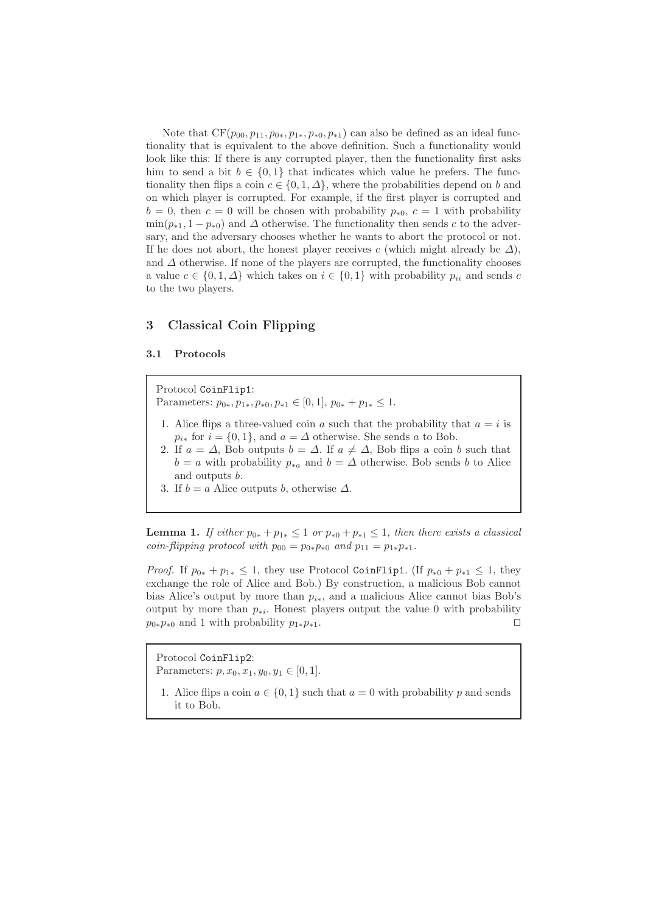Note that  $CF(p_{00}, p_{11}, p_{0*}, p_{1*}, p_{*0}, p_{*1})$  can also be defined as an ideal functionality that is equivalent to the above definition. Such a functionality would look like this: If there is any corrupted player, then the functionality first asks him to send a bit  $b \in \{0,1\}$  that indicates which value he prefers. The functionality then flips a coin  $c \in \{0, 1, \Delta\}$ , where the probabilities depend on b and on which player is corrupted. For example, if the first player is corrupted and  $b = 0$ , then  $c = 0$  will be chosen with probability  $p_{*0}$ ,  $c = 1$  with probability  $min(p_{*1}, 1 - p_{*0})$  and  $\Delta$  otherwise. The functionality then sends c to the adversary, and the adversary chooses whether he wants to abort the protocol or not. If he does not abort, the honest player receives c (which might already be  $\Delta$ ), and  $\Delta$  otherwise. If none of the players are corrupted, the functionality chooses a value  $c \in \{0, 1, \Delta\}$  which takes on  $i \in \{0, 1\}$  with probability  $p_{ii}$  and sends c to the two players.

## 3 Classical Coin Flipping

#### 3.1 Protocols

Protocol CoinFlip1: Parameters:  $p_{0*}, p_{1*}, p_{*0}, p_{*1} \in [0, 1], p_{0*} + p_{1*} \leq 1.$ 

- 1. Alice flips a three-valued coin a such that the probability that  $a = i$  is  $p_{i*}$  for  $i = \{0, 1\}$ , and  $a = \Delta$  otherwise. She sends a to Bob.
- 2. If  $a = \Delta$ , Bob outputs  $b = \Delta$ . If  $a \neq \Delta$ , Bob flips a coin b such that  $b = a$  with probability  $p_{*a}$  and  $b = \Delta$  otherwise. Bob sends b to Alice and outputs b.
- 3. If  $b = a$  Alice outputs b, otherwise  $\Delta$ .

**Lemma 1.** *If either*  $p_{0*} + p_{1*} \leq 1$  *or*  $p_{*0} + p_{*1} \leq 1$ *, then there exists a classical coin-flipping protocol with*  $p_{00} = p_{0*}p_{*0}$  *and*  $p_{11} = p_{1*}p_{*1}$ *.* 

*Proof.* If  $p_{0*} + p_{1*} \leq 1$ , they use Protocol CoinFlip1. (If  $p_{*0} + p_{*1} \leq 1$ , they exchange the role of Alice and Bob.) By construction, a malicious Bob cannot bias Alice's output by more than  $p_{i*}$ , and a malicious Alice cannot bias Bob's output by more than  $p_{*i}$ . Honest players output the value 0 with probability  $p_{0*}p_{*0}$  and 1 with probability  $p_{1*}p_{*1}$ . □

Protocol CoinFlip2: Parameters:  $p, x_0, x_1, y_0, y_1 \in [0, 1].$ 

1. Alice flips a coin  $a \in \{0, 1\}$  such that  $a = 0$  with probability p and sends it to Bob.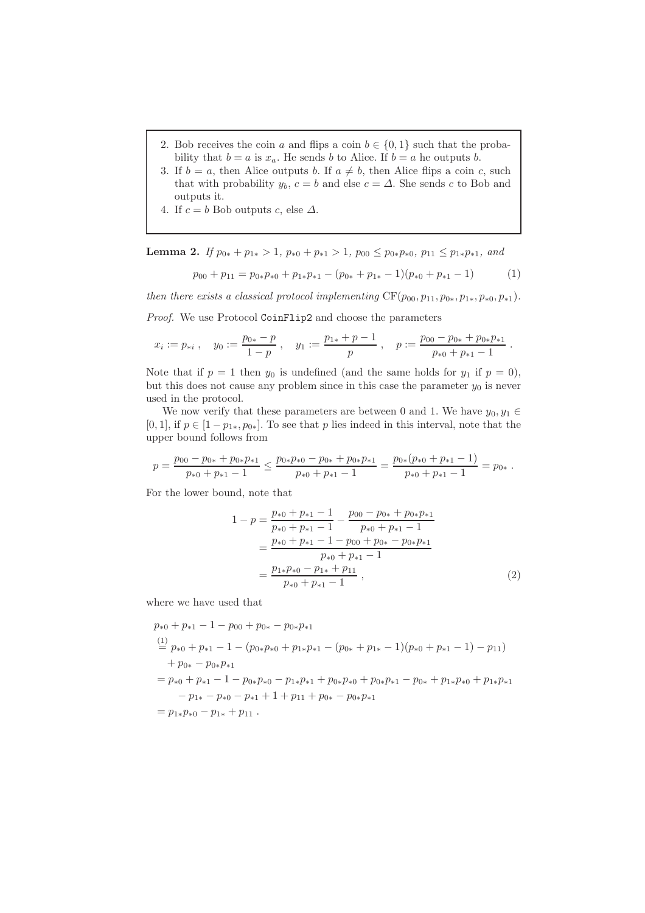- 2. Bob receives the coin a and flips a coin  $b \in \{0,1\}$  such that the probability that  $b = a$  is  $x_a$ . He sends b to Alice. If  $b = a$  he outputs b.
- 3. If  $b = a$ , then Alice outputs b. If  $a \neq b$ , then Alice flips a coin c, such that with probability  $y_b$ ,  $c = b$  and else  $c = \Delta$ . She sends c to Bob and outputs it.
- 4. If  $c = b$  Bob outputs c, else  $\Delta$ .

Lemma 2. *If*  $p_{0*} + p_{1*} > 1$ ,  $p_{*0} + p_{*1} > 1$ ,  $p_{00} \leq p_{0*}p_{*0}$ ,  $p_{11} \leq p_{1*}p_{*1}$ , and

$$
p_{00} + p_{11} = p_{0*}p_{*0} + p_{1*}p_{*1} - (p_{0*} + p_{1*} - 1)(p_{*0} + p_{*1} - 1)
$$
 (1)

*then there exists a classical protocol implementing*  $CF(p_{00}, p_{11}, p_{0*}, p_{1*}, p_{*0}, p_{*1})$ *.* 

*Proof.* We use Protocol CoinFlip2 and choose the parameters

$$
x_i := p_{*i}
$$
,  $y_0 := \frac{p_{0*} - p}{1 - p}$ ,  $y_1 := \frac{p_{1*} + p - 1}{p}$ ,  $p := \frac{p_{00} - p_{0*} + p_{0*}p_{*1}}{p_{*0} + p_{*1} - 1}$ .

Note that if  $p = 1$  then  $y_0$  is undefined (and the same holds for  $y_1$  if  $p = 0$ ), but this does not cause any problem since in this case the parameter  $y_0$  is never used in the protocol.

We now verify that these parameters are between 0 and 1. We have  $y_0, y_1 \in$ [0, 1], if  $p \in [1 - p_{1*}, p_{0*}]$ . To see that p lies indeed in this interval, note that the upper bound follows from

$$
p = \frac{p_{00} - p_{0*} + p_{0*}p_{*1}}{p_{*0} + p_{*1} - 1} \le \frac{p_{0*}p_{*0} - p_{0*} + p_{0*}p_{*1}}{p_{*0} + p_{*1} - 1} = \frac{p_{0*}(p_{*0} + p_{*1} - 1)}{p_{*0} + p_{*1} - 1} = p_{0*}.
$$

For the lower bound, note that

$$
1 - p = \frac{p_{*0} + p_{*1} - 1}{p_{*0} + p_{*1} - 1} - \frac{p_{00} - p_{0*} + p_{0*}p_{*1}}{p_{*0} + p_{*1} - 1}
$$
  
= 
$$
\frac{p_{*0} + p_{*1} - 1 - p_{00} + p_{0*} - p_{0*}p_{*1}}{p_{*0} + p_{*1} - 1}
$$
  
= 
$$
\frac{p_{1*}p_{*0} - p_{1*} + p_{11}}{p_{*0} + p_{*1} - 1},
$$
 (2)

where we have used that

$$
p_{*0} + p_{*1} - 1 - p_{00} + p_{0*} - p_{0*}p_{*1}
$$
  
\n
$$
\stackrel{(1)}{=} p_{*0} + p_{*1} - 1 - (p_{0*}p_{*0} + p_{1*}p_{*1} - (p_{0*} + p_{1*} - 1)(p_{*0} + p_{*1} - 1) - p_{11})
$$
\n
$$
+ p_{0*} - p_{0*}p_{*1}
$$
\n
$$
= p_{*0} + p_{*1} - 1 - p_{0*}p_{*0} - p_{1*}p_{*1} + p_{0*}p_{*0} + p_{0*}p_{*1} - p_{0*} + p_{1*}p_{*0} + p_{1*}p_{*1}
$$
\n
$$
- p_{1*} - p_{*0} - p_{*1} + 1 + p_{11} + p_{0*} - p_{0*}p_{*1}
$$
\n
$$
= p_{1*}p_{*0} - p_{1*} + p_{11}.
$$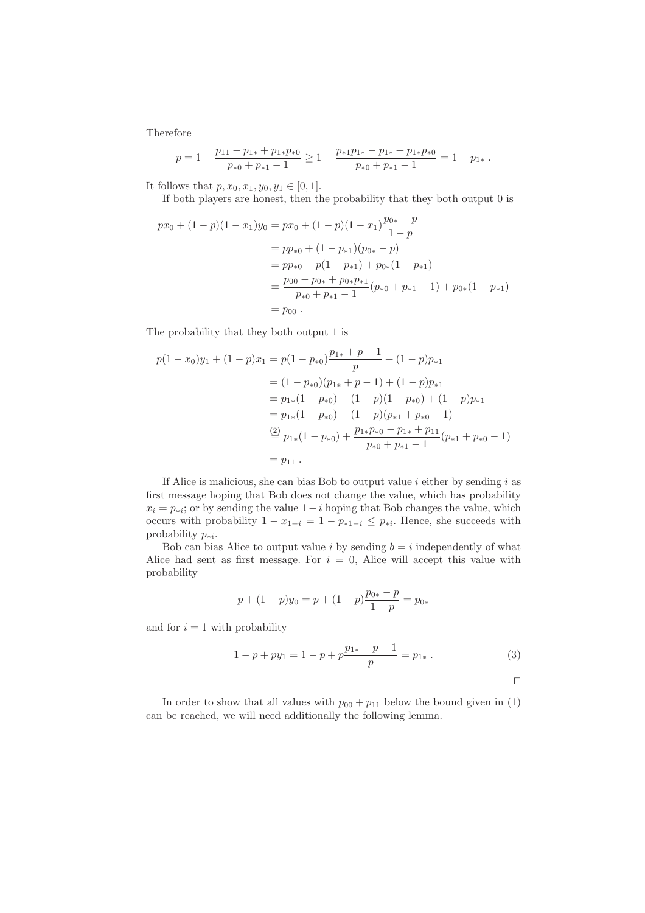Therefore

$$
p = 1 - \frac{p_{11} - p_{1*} + p_{1*}p_{*0}}{p_{*0} + p_{*1} - 1} \ge 1 - \frac{p_{*1}p_{1*} - p_{1*} + p_{1*}p_{*0}}{p_{*0} + p_{*1} - 1} = 1 - p_{1*}.
$$

It follows that  $p, x_0, x_1, y_0, y_1 \in [0, 1]$ .

If both players are honest, then the probability that they both output 0 is

$$
px_0 + (1-p)(1-x_1)y_0 = px_0 + (1-p)(1-x_1)\frac{p_{0*} - p}{1-p}
$$
  
=  $pp_{*0} + (1-p_{*1})(p_{0*} - p)$   
=  $pp_{*0} - p(1-p_{*1}) + p_{0*}(1-p_{*1})$   
=  $\frac{p_{00} - p_{0*} + p_{0*}p_{*1}}{p_{*0} + p_{*1} - 1}(p_{*0} + p_{*1} - 1) + p_{0*}(1 - p_{*1})$   
=  $p_{00}$ .

The probability that they both output 1 is

$$
p(1-x_0)y_1 + (1-p)x_1 = p(1-p_{*0})\frac{p_{1*}+p-1}{p} + (1-p)p_{*1}
$$
  
=  $(1-p_{*0})(p_{1*}+p-1) + (1-p)p_{*1}$   
=  $p_{1*}(1-p_{*0}) - (1-p)(1-p_{*0}) + (1-p)p_{*1}$   
=  $p_{1*}(1-p_{*0}) + (1-p)(p_{*1}+p_{*0}-1)$   
=  $p_{1*}(1-p_{*0}) + \frac{p_{1*}p_{*0}-p_{1*}+p_{11}}{p_{*0}+p_{*1}-1}(p_{*1}+p_{*0}-1)$   
=  $p_{11}$ .

If Alice is malicious, she can bias Bob to output value  $i$  either by sending  $i$  as first message hoping that Bob does not change the value, which has probability  $x_i = p_{*i}$ ; or by sending the value  $1-i$  hoping that Bob changes the value, which occurs with probability  $1 - x_{1-i} = 1 - p_{*1-i} \leq p_{*i}$ . Hence, she succeeds with probability  $p_{*i}$ .

Bob can bias Alice to output value i by sending  $b = i$  independently of what Alice had sent as first message. For  $i = 0$ , Alice will accept this value with probability

$$
p + (1 - p)y_0 = p + (1 - p)\frac{p_{0*} - p}{1 - p} = p_{0*}
$$

and for  $i = 1$  with probability

$$
1 - p + py_1 = 1 - p + p \frac{p_{1*} + p - 1}{p} = p_{1*} . \tag{3}
$$

⊓⊔

In order to show that all values with  $p_{00} + p_{11}$  below the bound given in (1) can be reached, we will need additionally the following lemma.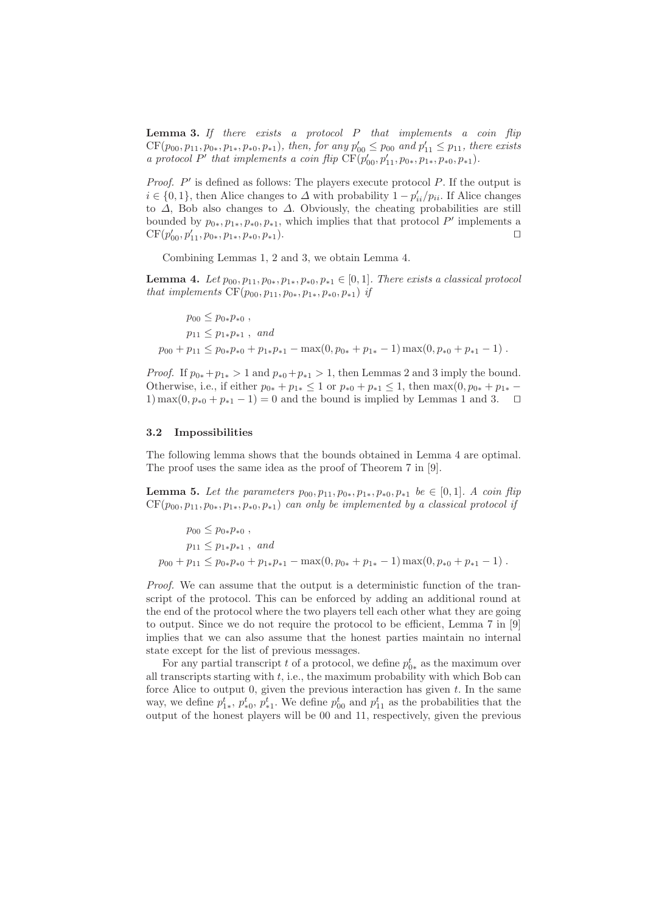Lemma 3. *If there exists a protocol* P *that implements a coin flip*  $CF(p_{00}, p_{11}, p_{0*}, p_{1*}, p_{*0}, p_{*1})$ , then, for any  $p'_{00} \le p_{00}$  and  $p'_{11} \le p_{11}$ , there exists *a* protocol P' that implements a coin flip  $CF(p'_{00}, p'_{11}, p_{0*}, p_{1*}, p_{*0}, p_{*1})$ .

*Proof.*  $P'$  is defined as follows: The players execute protocol  $P$ . If the output is  $i \in \{0, 1\}$ , then Alice changes to  $\Delta$  with probability  $1 - p'_{ii}/p_{ii}$ . If Alice changes to  $\Delta$ , Bob also changes to  $\Delta$ . Obviously, the cheating probabilities are still bounded by  $p_{0*}, p_{1*}, p_{*0}, p_{*1}$ , which implies that that protocol P' implements a  $CF(p'_{00}, p'_{11}, p_{0*}, p_{1*}, p_{*0}, p_{*1}).$ 

Combining Lemmas 1, 2 and 3, we obtain Lemma 4.

**Lemma 4.** *Let*  $p_{00}, p_{11}, p_{0*}, p_{1*}, p_{*0}, p_{*1} \in [0,1]$ *. There exists a classical protocol that implements*  $CF(p_{00}, p_{11}, p_{0*}, p_{1*}, p_{*0}, p_{*1})$  *if* 

 $p_{00} \leq p_{0*}p_{*0}$ ,  $p_{11} \leq p_{1*}p_{*1}$ , *and* 

 $p_{00} + p_{11} \leq p_{0*}p_{*0} + p_{1*}p_{*1} - \max(0, p_{0*} + p_{1*} - 1) \max(0, p_{*0} + p_{*1} - 1)$ .

*Proof.* If  $p_{0*} + p_{1*} > 1$  and  $p_{*0} + p_{*1} > 1$ , then Lemmas 2 and 3 imply the bound. Otherwise, i.e., if either  $p_{0*} + p_{1*} \le 1$  or  $p_{*0} + p_{*1} \le 1$ , then  $\max(0, p_{0*} + p_{1*} - 1)$  max $(0, p_{*0} + p_{*1} - 1) = 0$  and the bound is implied by Lemmas 1 and 3. □ 1) max $(0, p_{*0} + p_{*1} - 1) = 0$  and the bound is implied by Lemmas 1 and 3.

### 3.2 Impossibilities

The following lemma shows that the bounds obtained in Lemma 4 are optimal. The proof uses the same idea as the proof of Theorem 7 in [9].

**Lemma 5.** Let the parameters  $p_{00}, p_{11}, p_{0*}, p_{1*}, p_{*0}, p_{*1}$  be ∈ [0, 1]*.* A coin flip  $CF(p_{00}, p_{11}, p_{0*}, p_{1*}, p_{*0}, p_{*1})$  *can only be implemented by a classical protocol if* 

$$
p_{00} \le p_{0*} p_{*0} ,
$$
  
\n
$$
p_{11} \le p_{1*} p_{*1} , \text{ and}
$$
  
\n
$$
p_{00} + p_{11} \le p_{0*} p_{*0} + p_{1*} p_{*1} - \max(0, p_{0*} + p_{1*} - 1) \max(0, p_{*0} + p_{*1} - 1).
$$

*Proof.* We can assume that the output is a deterministic function of the transcript of the protocol. This can be enforced by adding an additional round at the end of the protocol where the two players tell each other what they are going to output. Since we do not require the protocol to be efficient, Lemma 7 in [9] implies that we can also assume that the honest parties maintain no internal state except for the list of previous messages.

For any partial transcript  $t$  of a protocol, we define  $p_{0*}^t$  as the maximum over all transcripts starting with  $t$ , i.e., the maximum probability with which Bob can force Alice to output 0, given the previous interaction has given  $t$ . In the same way, we define  $p_{1*}^t$ ,  $p_{*0}^t$ ,  $p_{*1}^t$ . We define  $p_{00}^t$  and  $p_{11}^t$  as the probabilities that the output of the honest players will be 00 and 11, respectively, given the previous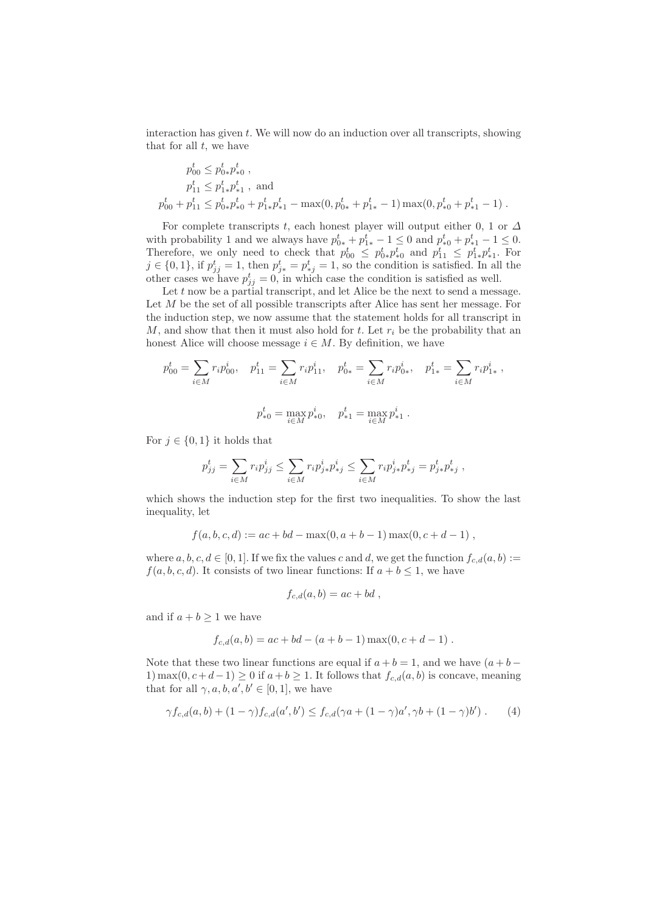interaction has given  $t$ . We will now do an induction over all transcripts, showing that for all  $t$ , we have

$$
p_{00}^t \le p_{0*}^t p_{*0}^t ,
$$
  
\n
$$
p_{11}^t \le p_{1*}^t p_{*1}^t ,
$$
 and  
\n
$$
p_{00}^t + p_{11}^t \le p_{0*}^t p_{*0}^t + p_{1*}^t p_{*1}^t - \max(0, p_{0*}^t + p_{1*}^t - 1) \max(0, p_{*0}^t + p_{*1}^t - 1).
$$

For complete transcripts t, each honest player will output either 0, 1 or  $\Delta$ with probability 1 and we always have  $p_{0*}^t + p_{1*}^t - 1 \leq 0$  and  $p_{*0}^t + p_{*1}^t - 1 \leq 0$ . Therefore, we only need to check that  $p_{00}^t \leq p_{0*}^t p_{*0}^t$  and  $p_{11}^t \leq p_{1*}^t p_{*1}^t$ . For  $j \in \{0,1\}$ , if  $p_{jj}^t = 1$ , then  $p_{j*}^t = p_{*j}^t = 1$ , so the condition is satisfied. In all the other cases we have  $p_{jj}^t = 0$ , in which case the condition is satisfied as well.

Let  $t$  now be a partial transcript, and let Alice be the next to send a message. Let M be the set of all possible transcripts after Alice has sent her message. For the induction step, we now assume that the statement holds for all transcript in M, and show that then it must also hold for t. Let  $r_i$  be the probability that an honest Alice will choose message  $i \in M$ . By definition, we have

$$
p_{00}^t = \sum_{i \in M} r_i p_{00}^i, \quad p_{11}^t = \sum_{i \in M} r_i p_{11}^i, \quad p_{0*}^t = \sum_{i \in M} r_i p_{0*}^i, \quad p_{1*}^t = \sum_{i \in M} r_i p_{1*}^i,
$$

$$
p_{*0}^t = \max_{i \in M} p_{*0}^i, \quad p_{*1}^t = \max_{i \in M} p_{*1}^i.
$$

For  $j \in \{0,1\}$  it holds that

$$
p_{jj}^t = \sum_{i \in M} r_i p_{jj}^i \leq \sum_{i \in M} r_i p_{j*}^i p_{*j}^i \leq \sum_{i \in M} r_i p_{j*}^i p_{*j}^t = p_{j*}^t p_{*j}^t ,
$$

which shows the induction step for the first two inequalities. To show the last inequality, let

$$
f(a, b, c, d) := ac + bd - \max(0, a + b - 1) \max(0, c + d - 1),
$$

where  $a, b, c, d \in [0, 1]$ . If we fix the values c and d, we get the function  $f_{c,d}(a, b) :=$  $f(a, b, c, d)$ . It consists of two linear functions: If  $a + b \leq 1$ , we have

$$
f_{c,d}(a,b) = ac + bd,
$$

and if  $a + b \geq 1$  we have

$$
f_{c,d}(a,b) = ac + bd - (a+b-1)\max(0, c+d-1).
$$

Note that these two linear functions are equal if  $a + b = 1$ , and we have  $(a + b -$ 1) max $(0, c+d-1) \ge 0$  if  $a+b \ge 1$ . It follows that  $f_{c,d}(a, b)$  is concave, meaning that for all  $\gamma, a, b, a', b' \in [0, 1]$ , we have

$$
\gamma f_{c,d}(a,b) + (1 - \gamma) f_{c,d}(a',b') \le f_{c,d}(\gamma a + (1 - \gamma)a', \gamma b + (1 - \gamma)b').
$$
 (4)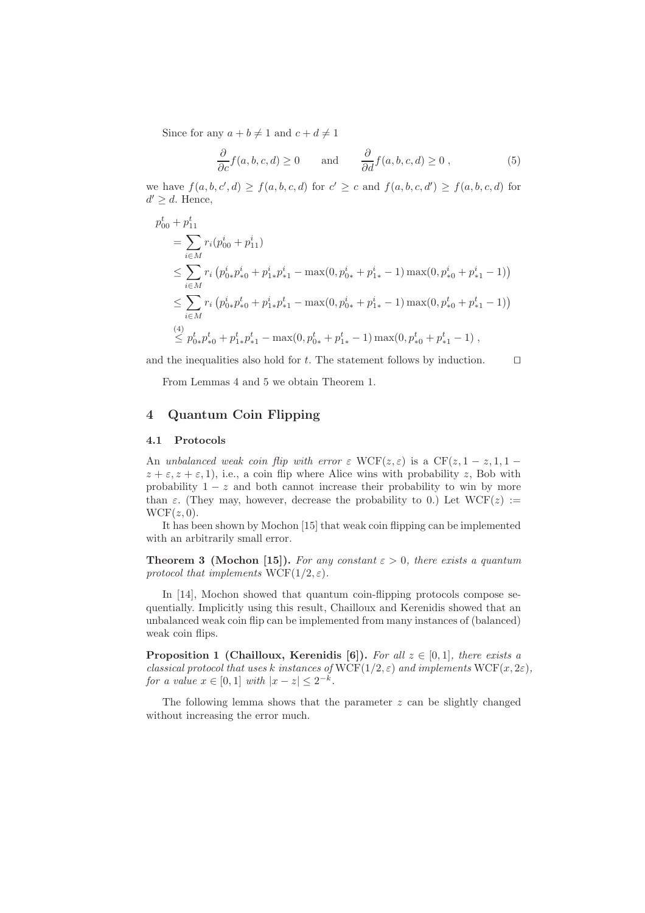Since for any  $a + b \neq 1$  and  $c + d \neq 1$ 

$$
\frac{\partial}{\partial c} f(a, b, c, d) \ge 0 \quad \text{and} \quad \frac{\partial}{\partial d} f(a, b, c, d) \ge 0 , \qquad (5)
$$

we have  $f(a, b, c', d) \ge f(a, b, c, d)$  for  $c' \ge c$  and  $f(a, b, c, d') \ge f(a, b, c, d)$  for  $d' \geq d$ . Hence,

$$
p_{00}^t + p_{11}^t
$$
  
=  $\sum_{i \in M} r_i (p_{00}^i + p_{11}^i)$   
 $\leq \sum_{i \in M} r_i (p_{0*}^i p_{*0}^i + p_{1*}^i p_{*1}^i - \max(0, p_{0*}^i + p_{1*}^i - 1) \max(0, p_{*0}^i + p_{*1}^i - 1))$   
 $\leq \sum_{i \in M} r_i (p_{0*}^i p_{*0}^t + p_{1*}^i p_{*1}^t - \max(0, p_{0*}^i + p_{1*}^i - 1) \max(0, p_{*0}^t + p_{*1}^t - 1))$   
 $\leq p_{0*}^t p_{*0}^t + p_{1*}^t p_{*1}^t - \max(0, p_{0*}^t + p_{1*}^t - 1) \max(0, p_{*0}^t + p_{*1}^t - 1),$ 

and the inequalities also hold for t. The statement follows by induction.  $□$ 

From Lemmas 4 and 5 we obtain Theorem 1.

## 4 Quantum Coin Flipping

#### 4.1 Protocols

An *unbalanced weak coin flip with error*  $\varepsilon$  WCF( $z, \varepsilon$ ) is a CF( $z, 1-z, 1, 1-z$  $z + \varepsilon, z + \varepsilon, 1$ , i.e., a coin flip where Alice wins with probability z, Bob with probability  $1 - z$  and both cannot increase their probability to win by more than  $\varepsilon$ . (They may, however, decrease the probability to 0.) Let  $WCF(z) :=$  $WCF(z, 0)$ .

It has been shown by Mochon [15] that weak coin flipping can be implemented with an arbitrarily small error.

**Theorem 3 (Mochon [15]).** For any constant  $\varepsilon > 0$ , there exists a quantum *protocol that implements*  $WCF(1/2, \varepsilon)$ *.* 

In [14], Mochon showed that quantum coin-flipping protocols compose sequentially. Implicitly using this result, Chailloux and Kerenidis showed that an unbalanced weak coin flip can be implemented from many instances of (balanced) weak coin flips.

**Proposition 1 (Chailloux, Kerenidis [6]).** *For all*  $z \in [0,1]$ *, there exists a classical protocol that uses* k *instances of*  $WCF(1/2, \varepsilon)$  *and implements*  $WCF(x, 2\varepsilon)$ *, for a value*  $x \in [0, 1]$  *with*  $|x - z| \leq 2^{-k}$ *.* 

The following lemma shows that the parameter  $z$  can be slightly changed without increasing the error much.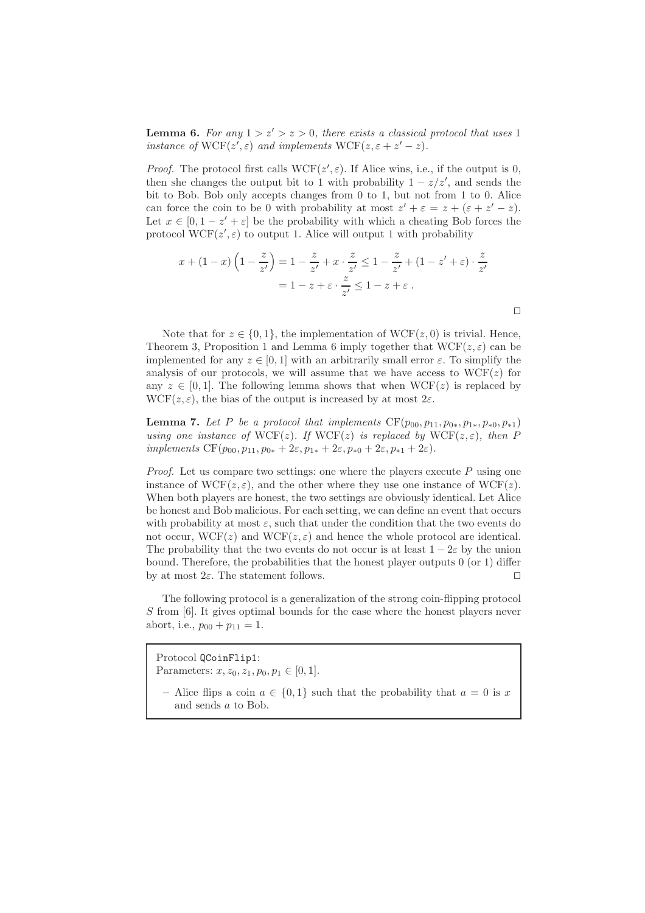**Lemma 6.** For any  $1 > z' > z > 0$ , there exists a classical protocol that uses 1 *instance of*  $WCF(z', \varepsilon)$  *and implements*  $WCF(z, \varepsilon + z' - z)$ *.* 

*Proof.* The protocol first calls  $WCF(z', \varepsilon)$ . If Alice wins, i.e., if the output is 0, then she changes the output bit to 1 with probability  $1 - z/z'$ , and sends the bit to Bob. Bob only accepts changes from 0 to 1, but not from 1 to 0. Alice can force the coin to be 0 with probability at most  $z' + \varepsilon = z + (\varepsilon + z' - z)$ . Let  $x \in [0, 1-z'+\varepsilon]$  be the probability with which a cheating Bob forces the protocol  $WCF(z', \varepsilon)$  to output 1. Alice will output 1 with probability

$$
x + (1 - x) \left(1 - \frac{z}{z'}\right) = 1 - \frac{z}{z'} + x \cdot \frac{z}{z'} \le 1 - \frac{z}{z'} + (1 - z' + \varepsilon) \cdot \frac{z}{z'}
$$

$$
= 1 - z + \varepsilon \cdot \frac{z}{z'} \le 1 - z + \varepsilon.
$$

Note that for  $z \in \{0, 1\}$ , the implementation of  $WCF(z, 0)$  is trivial. Hence, Theorem 3, Proposition 1 and Lemma 6 imply together that  $WCF(z, \varepsilon)$  can be implemented for any  $z \in [0, 1]$  with an arbitrarily small error  $\varepsilon$ . To simplify the analysis of our protocols, we will assume that we have access to  $WCF(z)$  for any  $z \in [0, 1]$ . The following lemma shows that when WCF(z) is replaced by  $WCF(z, \varepsilon)$ , the bias of the output is increased by at most  $2\varepsilon$ .

**Lemma 7.** Let P be a protocol that implements  $CF(p_{00}, p_{11}, p_{0*}, p_{1*}, p_{*0}, p_{*1})$ *using one instance of* WCF(z)*. If* WCF(z) *is replaced by* WCF( $z, \varepsilon$ )*, then* P *implements*  $CF(p_{00}, p_{11}, p_{0*} + 2\varepsilon, p_{1*} + 2\varepsilon, p_{*0} + 2\varepsilon, p_{*1} + 2\varepsilon).$ 

*Proof.* Let us compare two settings: one where the players execute P using one instance of  $WCF(z, \varepsilon)$ , and the other where they use one instance of  $WCF(z)$ . When both players are honest, the two settings are obviously identical. Let Alice be honest and Bob malicious. For each setting, we can define an event that occurs with probability at most  $\varepsilon$ , such that under the condition that the two events do not occur,  $WCF(z)$  and  $WCF(z, \varepsilon)$  and hence the whole protocol are identical. The probability that the two events do not occur is at least  $1 - 2\varepsilon$  by the union bound. Therefore, the probabilities that the honest player outputs 0 (or 1) differ by at most  $2\varepsilon$ . The statement follows. □

The following protocol is a generalization of the strong coin-flipping protocol S from [6]. It gives optimal bounds for the case where the honest players never abort, i.e.,  $p_{00} + p_{11} = 1$ .

Protocol QCoinFlip1:

Parameters:  $x, z_0, z_1, p_0, p_1 \in [0, 1].$ 

– Alice flips a coin  $a \in \{0,1\}$  such that the probability that  $a = 0$  is x and sends a to Bob.

⊓⊔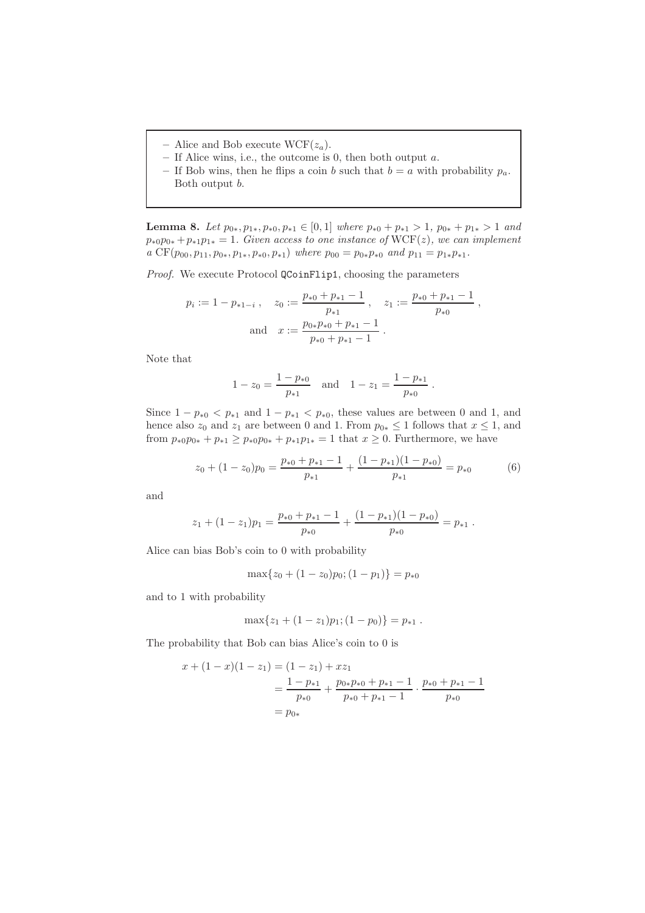- Alice and Bob execute  $WCF(z_a)$ .
- If Alice wins, i.e., the outcome is 0, then both output  $a$ .
- If Bob wins, then he flips a coin b such that  $b = a$  with probability  $p_a$ . Both output b.

**Lemma 8.** *Let*  $p_{0*}, p_{1*}, p_{*0}, p_{*1} \in [0,1]$  *where*  $p_{*0} + p_{*1} > 1$ ,  $p_{0*} + p_{1*} > 1$  *and*  $p_{*0}p_{0*} + p_{*1}p_{1*} = 1$ *. Given access to one instance of* WCF(*z*)*, we can implement a* CF( $p_{00}, p_{11}, p_{0*}, p_{1*}, p_{*0}, p_{*1}$ ) *where*  $p_{00} = p_{0*}p_{*0}$  *and*  $p_{11} = p_{1*}p_{*1}$ .

*Proof.* We execute Protocol QCoinFlip1, choosing the parameters

$$
p_i := 1 - p_{*1-i} , \quad z_0 := \frac{p_{*0} + p_{*1} - 1}{p_{*1}} , \quad z_1 := \frac{p_{*0} + p_{*1} - 1}{p_{*0}}
$$
  
and 
$$
x := \frac{p_{0*}p_{*0} + p_{*1} - 1}{p_{*0} + p_{*1} - 1} .
$$

,

Note that

$$
1 - z_0 = \frac{1 - p_{*0}}{p_{*1}}
$$
 and  $1 - z_1 = \frac{1 - p_{*1}}{p_{*0}}$ .

Since  $1 - p_{*0} < p_{*1}$  and  $1 - p_{*1} < p_{*0}$ , these values are between 0 and 1, and hence also  $z_0$  and  $z_1$  are between 0 and 1. From  $p_{0*} \leq 1$  follows that  $x \leq 1$ , and from  $p_{*0}p_{0*} + p_{*1} \geq p_{*0}p_{0*} + p_{*1}p_{1*} = 1$  that  $x \geq 0$ . Furthermore, we have

$$
z_0 + (1 - z_0)p_0 = \frac{p_{*0} + p_{*1} - 1}{p_{*1}} + \frac{(1 - p_{*1})(1 - p_{*0})}{p_{*1}} = p_{*0}
$$
(6)

and

$$
z_1 + (1 - z_1)p_1 = \frac{p_{*0} + p_{*1} - 1}{p_{*0}} + \frac{(1 - p_{*1})(1 - p_{*0})}{p_{*0}} = p_{*1}.
$$

Alice can bias Bob's coin to 0 with probability

$$
\max\{z_0 + (1 - z_0)p_0; (1 - p_1)\} = p_{*0}
$$

and to 1 with probability

$$
\max\{z_1+(1-z_1)p_1;(1-p_0)\}=p_{*1}.
$$

The probability that Bob can bias Alice's coin to 0 is

$$
x + (1 - x)(1 - z1) = (1 - z1) + xz1
$$
  
= 
$$
\frac{1 - p_{*1}}{p_{*0}} + \frac{p_{0*}p_{*0} + p_{*1} - 1}{p_{*0} + p_{*1} - 1} \cdot \frac{p_{*0} + p_{*1} - 1}{p_{*0}}
$$
  
= 
$$
p_{0*}
$$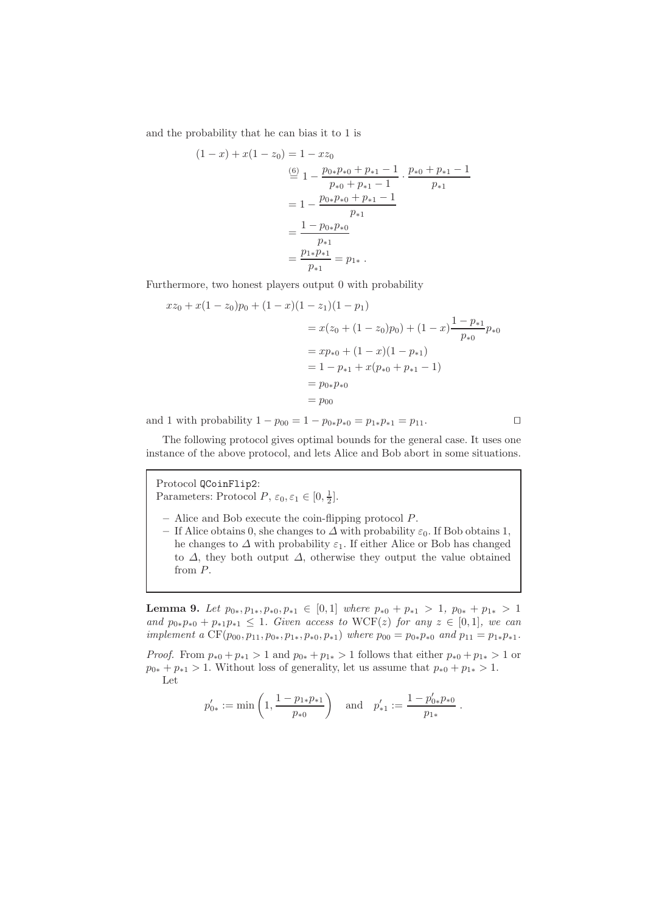and the probability that he can bias it to 1 is

$$
(1-x) + x(1-z_0) = 1 - xz_0
$$
  
\n
$$
\stackrel{(6)}{=} 1 - \frac{p_{0*}p_{*0} + p_{*1} - 1}{p_{*0} + p_{*1} - 1} \cdot \frac{p_{*0} + p_{*1} - 1}{p_{*1}}
$$
  
\n
$$
= 1 - \frac{p_{0*}p_{*0} + p_{*1} - 1}{p_{*1}}
$$
  
\n
$$
= \frac{1 - p_{0*}p_{*0}}{p_{*1}}
$$
  
\n
$$
= \frac{p_{1*}p_{*1}}{p_{*1}} = p_{1*}.
$$

Furthermore, two honest players output 0 with probability

$$
xz_0 + x(1 - z_0)p_0 + (1 - x)(1 - z_1)(1 - p_1)
$$
  
=  $x(z_0 + (1 - z_0)p_0) + (1 - x)\frac{1 - p_{*1}}{p_{*0}}p_{*0}$   
=  $xp_{*0} + (1 - x)(1 - p_{*1})$   
=  $1 - p_{*1} + x(p_{*0} + p_{*1} - 1)$   
=  $p_{0*}p_{*0}$   
=  $p_{00}$ 

and 1 with probability  $1 - p_{00} = 1 - p_{0*}p_{*0} = p_{1*}p_{*1} = p_{11}$ .

$$
\qquad \qquad \Box
$$

The following protocol gives optimal bounds for the general case. It uses one instance of the above protocol, and lets Alice and Bob abort in some situations.

Protocol QCoinFlip2: Parameters: Protocol  $P, \varepsilon_0, \varepsilon_1 \in [0, \frac{1}{2}].$ 

- Alice and Bob execute the coin-flipping protocol P.
- If Alice obtains 0, she changes to ∆ with probability ε0. If Bob obtains 1, he changes to  $\Delta$  with probability  $\varepsilon_1$ . If either Alice or Bob has changed to ∆, they both output ∆, otherwise they output the value obtained from P.

**Lemma 9.** *Let*  $p_{0*}, p_{1*}, p_{*0}, p_{*1} \in [0,1]$  *where*  $p_{*0} + p_{*1} > 1$ ,  $p_{0*} + p_{1*} > 1$ *and*  $p_{0*}p_{*0} + p_{*1}p_{*1} \leq 1$ *. Given access to* WCF(*z*) *for any z* ∈ [0, 1]*, we can implement a*  $CF(p_{00}, p_{11}, p_{0*}, p_{1*}, p_{*0}, p_{*1})$  *where*  $p_{00} = p_{0*}p_{*0}$  *and*  $p_{11} = p_{1*}p_{*1}$ *.* 

*Proof.* From  $p_{*0} + p_{*1} > 1$  and  $p_{0*} + p_{1*} > 1$  follows that either  $p_{*0} + p_{1*} > 1$  or  $p_{0*} + p_{*1} > 1$ . Without loss of generality, let us assume that  $p_{*0} + p_{1*} > 1$ . Let

$$
p'_{0*} := \min\left(1, \frac{1-p_{1*}p_{*1}}{p_{*0}}\right)
$$
 and  $p'_{*1} := \frac{1-p'_{0*}p_{*0}}{p_{1*}}$ .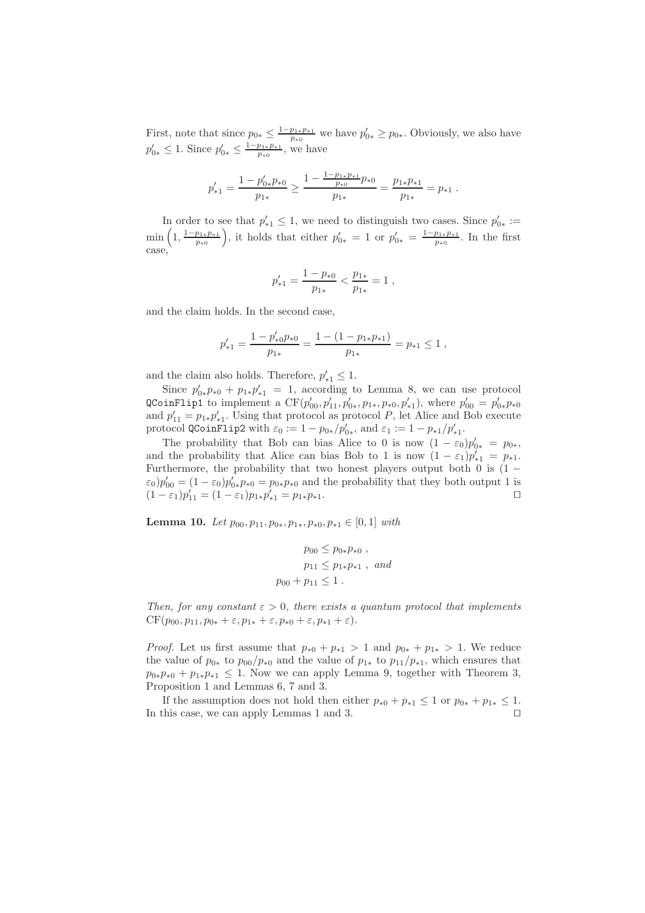First, note that since  $p_{0*} \leq \frac{1-p_{1*}p_{*1}}{p_{*0}}$  we have  $p'_{0*} \geq p_{0*}$ . Obviously, we also have  $p'_{0*} \leq 1$ . Since  $p'_{0*} \leq \frac{1-p_{1*}p_{*1}}{p_{*0}},$  we have

$$
p'_{*1} = \frac{1-p'_{0*}p_{*0}}{p_{1*}} \ge \frac{1-\frac{1-p_{1*}p_{*1}}{p_{*0}}p_{*0}}{p_{1*}} = \frac{p_{1*}p_{*1}}{p_{1*}} = p_{*1}.
$$

In order to see that  $p'_{*1} \leq 1$ , we need to distinguish two cases. Since  $p'_{0*} :=$  $\min\left(1,\frac{1-p_{1*}p_{*1}}{p_{*0}}\right)$ , it holds that either  $p'_{0*} = 1$  or  $p'_{0*} = \frac{1-p_{1*}p_{*1}}{p_{*0}}$ . In the first case,

$$
p'_{*1} = \frac{1 - p_{*0}}{p_{1*}} < \frac{p_{1*}}{p_{1*}} = 1 \;,
$$

and the claim holds. In the second case,

$$
p'_{*1} = \frac{1 - p'_{*0}p_{*0}}{p_{1*}} = \frac{1 - (1 - p_{1*}p_{*1})}{p_{1*}} = p_{*1} \le 1,
$$

and the claim also holds. Therefore,  $p'_{*1} \leq 1$ .

Since  $p'_{0*}p_{*0} + p_{1*}p'_{*1} = 1$ , according to Lemma 8, we can use protocol QCoinFlip1 to implement a  $CF(p'_{00}, p'_{11}, p'_{0*}, p_{1*}, p_{*0}, p'_{*1})$ , where  $p'_{00} = p'_{0*}p_{*0}$ and  $p'_{11} = p_{1*}p'_{*1}$ . Using that protocol as protocol P, let Alice and Bob execute protocol QCoinFlip2 with  $\varepsilon_0 := 1 - p_{0*}/p'_{0*}$ , and  $\varepsilon_1 := 1 - p_{*1}/p'_{*1}$ .

The probability that Bob can bias Alice to 0 is now  $(1 - \varepsilon_0)p'_{0*} = p_{0*}$ , and the probability that Alice can bias Bob to 1 is now  $(1 - \varepsilon_1)p'_{*1} = p_{*1}$ . Furthermore, the probability that two honest players output both  $0$  is  $(1 (\epsilon_0)p'_{00} = (1 - \epsilon_0)p'_{0*}p_{*0} = p_{0*}p_{*0}$  and the probability that they both output 1 is  $(1 - \varepsilon_1)p'_{11} = (1 - \varepsilon_1)p_{1*}p'_{*1} = p_{1*}p_{*1}.$ 

**Lemma 10.** *Let*  $p_{00}, p_{11}, p_{0*}, p_{1*}, p_{*0}, p_{*1} \in [0, 1]$  *with* 

$$
p_{00} \le p_{0*} p_{*0} ,
$$
  
\n
$$
p_{11} \le p_{1*} p_{*1} , \text{ and}
$$
  
\n
$$
p_{00} + p_{11} \le 1 .
$$

*Then, for any constant*  $\varepsilon > 0$ *, there exists a quantum protocol that implements*  $CF(p_{00}, p_{11}, p_{0*} + \varepsilon, p_{1*} + \varepsilon, p_{*0} + \varepsilon, p_{*1} + \varepsilon).$ 

*Proof.* Let us first assume that  $p_{*0} + p_{*1} > 1$  and  $p_{0*} + p_{1*} > 1$ . We reduce the value of  $p_{0*}$  to  $p_{00}/p_{*0}$  and the value of  $p_{1*}$  to  $p_{11}/p_{*1}$ , which ensures that  $p_{0*}p_{*0} + p_{1*}p_{*1} \leq 1$ . Now we can apply Lemma 9, together with Theorem 3, Proposition 1 and Lemmas 6, 7 and 3.

If the assumption does not hold then either  $p_{*0} + p_{*1} \le 1$  or  $p_{0*} + p_{1*} \le 1$ .<br>this case, we can apply Lemmas 1 and 3. In this case, we can apply Lemmas 1 and 3.  $\,$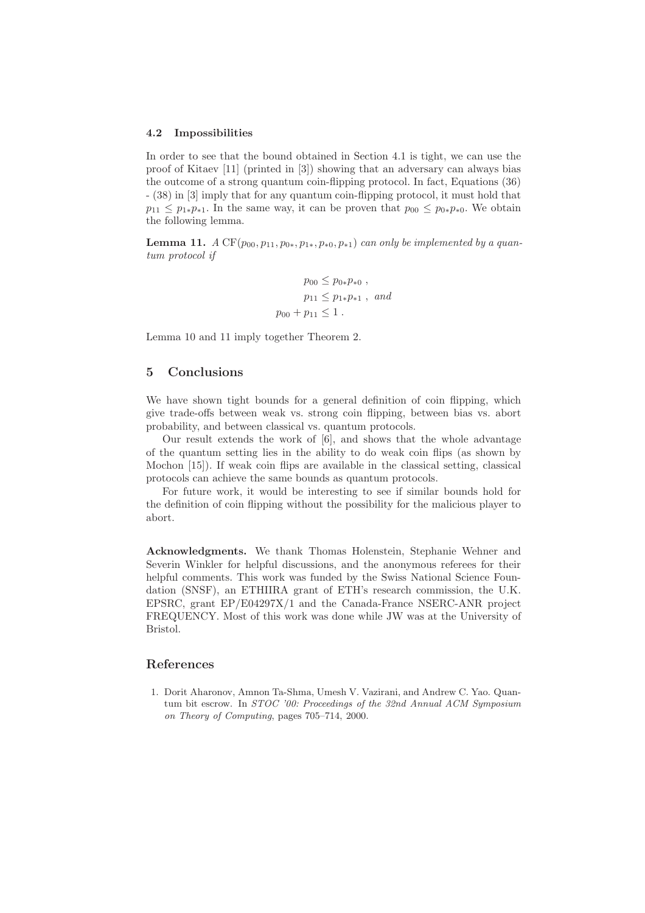#### 4.2 Impossibilities

In order to see that the bound obtained in Section 4.1 is tight, we can use the proof of Kitaev [11] (printed in [3]) showing that an adversary can always bias the outcome of a strong quantum coin-flipping protocol. In fact, Equations (36) - (38) in [3] imply that for any quantum coin-flipping protocol, it must hold that  $p_{11} \leq p_{1*}p_{*1}$ . In the same way, it can be proven that  $p_{00} \leq p_{0*}p_{*0}$ . We obtain the following lemma.

**Lemma 11.** *A*  $CF(p_{00}, p_{11}, p_{0*}, p_{1*}, p_{*0}, p_{*1})$  *can only be implemented by a quantum protocol if*

$$
p_{00} \le p_{0*} p_{*0} ,
$$
  
\n
$$
p_{11} \le p_{1*} p_{*1} , \text{ and}
$$
  
\n
$$
p_{00} + p_{11} \le 1 .
$$

Lemma 10 and 11 imply together Theorem 2.

## 5 Conclusions

We have shown tight bounds for a general definition of coin flipping, which give trade-offs between weak vs. strong coin flipping, between bias vs. abort probability, and between classical vs. quantum protocols.

Our result extends the work of [6], and shows that the whole advantage of the quantum setting lies in the ability to do weak coin flips (as shown by Mochon [15]). If weak coin flips are available in the classical setting, classical protocols can achieve the same bounds as quantum protocols.

For future work, it would be interesting to see if similar bounds hold for the definition of coin flipping without the possibility for the malicious player to abort.

Acknowledgments. We thank Thomas Holenstein, Stephanie Wehner and Severin Winkler for helpful discussions, and the anonymous referees for their helpful comments. This work was funded by the Swiss National Science Foundation (SNSF), an ETHIIRA grant of ETH's research commission, the U.K. EPSRC, grant EP/E04297X/1 and the Canada-France NSERC-ANR project FREQUENCY. Most of this work was done while JW was at the University of Bristol.

## References

1. Dorit Aharonov, Amnon Ta-Shma, Umesh V. Vazirani, and Andrew C. Yao. Quantum bit escrow. In STOC '00: Proceedings of the 32nd Annual ACM Symposium on Theory of Computing, pages 705–714, 2000.